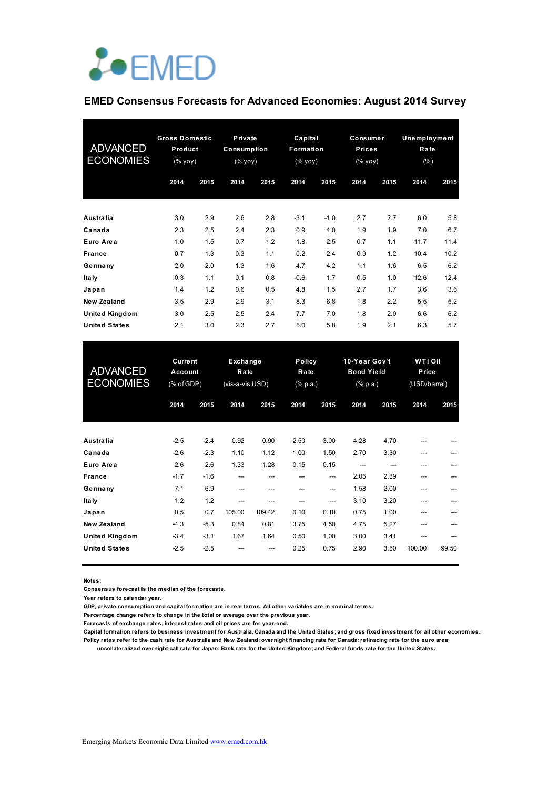

## **EMED Consensus Forecasts for Advanced Economies: August 2014 Survey**

| <b>ADVANCED</b><br><b>ECONOMIES</b> | <b>Gross Domestic</b><br>Product<br>(% yoy) |      | Private<br>Consumption<br>(% yoy) |      | Capital<br>Formation<br>(% yoy) |        | Consumer<br><b>Prices</b><br>(% |      | Unemployment<br>Rate<br>(%) |      |
|-------------------------------------|---------------------------------------------|------|-----------------------------------|------|---------------------------------|--------|---------------------------------|------|-----------------------------|------|
|                                     | 2014                                        | 2015 | 2014                              | 2015 | 2014                            | 2015   | 2014                            | 2015 | 2014                        | 2015 |
| <b>Australia</b>                    | 3.0                                         | 2.9  | 2.6                               | 2.8  | $-3.1$                          | $-1.0$ | 2.7                             | 2.7  | 6.0                         | 5.8  |
| Canada                              | 2.3                                         | 2.5  | 2.4                               | 2.3  | 0.9                             | 4.0    | 1.9                             | 1.9  | 7.0                         | 6.7  |
| Euro Area                           | 1.0                                         | 1.5  | 0.7                               | 1.2  | 1.8                             | 2.5    | 0.7                             | 1.1  | 11.7                        | 11.4 |
| <b>France</b>                       | 0.7                                         | 1.3  | 0.3                               | 1.1  | 0.2                             | 2.4    | 0.9                             | 1.2  | 10.4                        | 10.2 |
| Germany                             | 2.0                                         | 2.0  | 1.3                               | 1.6  | 4.7                             | 4.2    | 1.1                             | 1.6  | 6.5                         | 6.2  |
| Ita Iy                              | 0.3                                         | 1.1  | 0.1                               | 0.8  | $-0.6$                          | 1.7    | 0.5                             | 1.0  | 12.6                        | 12.4 |
| Japan                               | 1.4                                         | 1.2  | 0.6                               | 0.5  | 4.8                             | 1.5    | 2.7                             | 1.7  | 3.6                         | 3.6  |
| <b>New Zealand</b>                  | 3.5                                         | 2.9  | 2.9                               | 3.1  | 8.3                             | 6.8    | 1.8                             | 2.2  | 5.5                         | 5.2  |
| <b>United Kingdom</b>               | 3.0                                         | 2.5  | 2.5                               | 2.4  | 7.7                             | 7.0    | 1.8                             | 2.0  | 6.6                         | 6.2  |
| <b>United States</b>                | 2.1                                         | 3.0  | 2.3                               | 2.7  | 5.0                             | 5.8    | 1.9                             | 2.1  | 6.3                         | 5.7  |

| <b>ADVANCED</b><br><b>ECONOMIES</b> | <b>Current</b><br>Account<br>(% of GDP) |        | Exchange<br>Rate<br>(vis-a-vis USD) |        |      | Policy<br>Rate<br>$(% \mathbb{R}^2)$ (% p.a.) |      | 10-Year Gov't<br><b>Bond Yield</b><br>$(% \mathbf{a})$ (% p.a.) |        | WTI Oil<br>Price<br>(USD/barrel) |
|-------------------------------------|-----------------------------------------|--------|-------------------------------------|--------|------|-----------------------------------------------|------|-----------------------------------------------------------------|--------|----------------------------------|
|                                     | 2014                                    | 2015   | 2014                                | 2015   | 2014 | 2015                                          | 2014 | 2015                                                            | 2014   | 2015                             |
| Australia                           | $-2.5$                                  | $-2.4$ | 0.92                                | 0.90   | 2.50 | 3.00                                          | 4.28 | 4.70                                                            |        |                                  |
| Canada                              | $-2.6$                                  | $-2.3$ | 1.10                                | 1.12   | 1.00 | 1.50                                          | 2.70 | 3.30                                                            | ---    |                                  |
| Euro Area                           | 2.6                                     | 2.6    | 1.33                                | 1.28   | 0.15 | 0.15                                          |      |                                                                 | ---    |                                  |
| France                              | $-1.7$                                  | $-1.6$ | ---                                 |        | ---  | ---                                           | 2.05 | 2.39                                                            | ---    |                                  |
| Germany                             | 7.1                                     | 6.9    | ---                                 |        | ---  | $---$                                         | 1.58 | 2.00                                                            | ---    |                                  |
| Ita Iy                              | 1.2                                     | 1.2    | ---                                 |        |      | $---$                                         | 3.10 | 3.20                                                            | ---    |                                  |
| Japan                               | 0.5                                     | 0.7    | 105.00                              | 109.42 | 0.10 | 0.10                                          | 0.75 | 1.00                                                            | ---    |                                  |
| <b>New Zealand</b>                  | $-4.3$                                  | $-5.3$ | 0.84                                | 0.81   | 3.75 | 4.50                                          | 4.75 | 5.27                                                            | ---    |                                  |
| <b>United Kingdom</b>               | $-3.4$                                  | $-3.1$ | 1.67                                | 1.64   | 0.50 | 1.00                                          | 3.00 | 3.41                                                            | ---    |                                  |
| <b>United States</b>                | $-2.5$                                  | $-2.5$ |                                     |        | 0.25 | 0.75                                          | 2.90 | 3.50                                                            | 100.00 | 99.50                            |

**Notes:** 

**Consensus forecast is the median of the forecasts.**

**Year refers to calendar year.**

**GDP, private consumption and capital formation are in real terms. All other variables are in nominal terms.**

**Percentage change refers to change in the total or average over the previous year.**

**Forecasts of exchange rates, interest rates and oil prices are for year-end.**

**Capital formation refers to business investment for Australia, Canada and the United States; and gross fixed investment for all other economies. Policy rates refer to the cash rate for Australia and New Zealand; overnight financing rate for Canada; refinacing rate for the euro area;** 

 **uncollateralized overnight call rate for Japan; Bank rate for the United Kingdom; and Federal funds rate for the United States.**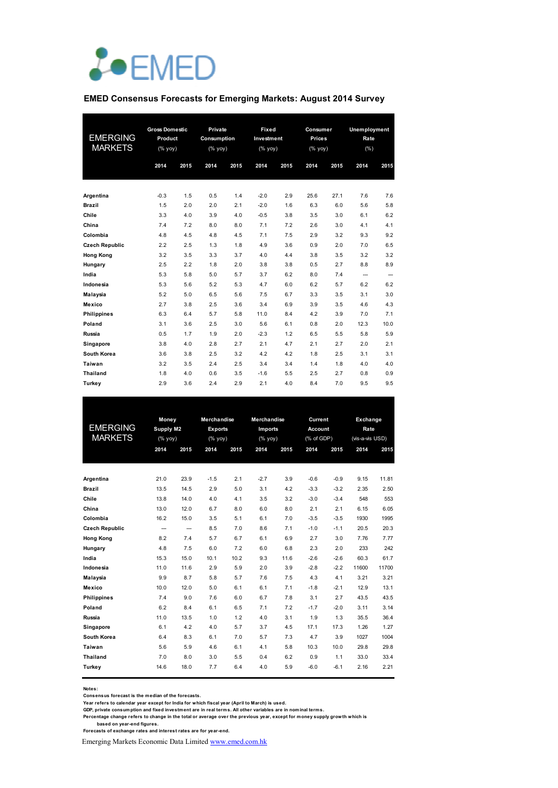

#### **EMED Consensus Forecasts for Emerging Markets: August 2014 Survey**

|                       | <b>Gross Domestic</b> |      | Private     |      | Fixed      |      | Consumer |      | Unemployment |      |  |
|-----------------------|-----------------------|------|-------------|------|------------|------|----------|------|--------------|------|--|
| <b>EMERGING</b>       | Product               |      | Consumption |      | Investment |      | Prices   |      | Rate         |      |  |
| <b>MARKETS</b>        | (%                    |      | (% yoy)     |      | (%         |      | (%       |      | (% )         |      |  |
|                       | 2014                  | 2015 | 2014        | 2015 | 2014       | 2015 | 2014     | 2015 | 2014         | 2015 |  |
|                       |                       |      |             |      |            |      |          |      |              |      |  |
|                       |                       |      |             |      |            |      |          |      |              |      |  |
| Argentina             | $-0.3$                | 1.5  | 0.5         | 1.4  | $-2.0$     | 2.9  | 25.6     | 27.1 | 7.6          | 7.6  |  |
| <b>Brazil</b>         | 1.5                   | 2.0  | 2.0         | 2.1  | $-2.0$     | 1.6  | 6.3      | 6.0  | 5.6          | 5.8  |  |
| Chile                 | 3.3                   | 4.0  | 3.9         | 4.0  | $-0.5$     | 3.8  | 3.5      | 3.0  | 6.1          | 6.2  |  |
| China                 | 7.4                   | 7.2  | 8.0         | 8.0  | 7.1        | 7.2  | 2.6      | 3.0  | 4.1          | 4.1  |  |
| Colombia              | 4.8                   | 4.5  | 4.8         | 4.5  | 7.1        | 7.5  | 2.9      | 3.2  | 9.3          | 9.2  |  |
| <b>Czech Republic</b> | 2.2                   | 2.5  | 1.3         | 1.8  | 4.9        | 3.6  | 0.9      | 2.0  | 7.0          | 6.5  |  |
| <b>Hong Kong</b>      | 3.2                   | 3.5  | 3.3         | 3.7  | 4.0        | 4.4  | 3.8      | 3.5  | 3.2          | 3.2  |  |
| Hungary               | 2.5                   | 2.2  | 1.8         | 2.0  | 3.8        | 3.8  | 0.5      | 2.7  | 8.8          | 8.9  |  |
| India                 | 5.3                   | 5.8  | 5.0         | 5.7  | 3.7        | 6.2  | 8.0      | 7.4  | --           | --   |  |
| Indonesia             | 5.3                   | 5.6  | 5.2         | 5.3  | 4.7        | 6.0  | 6.2      | 5.7  | 6.2          | 6.2  |  |
| Malaysia              | 5.2                   | 5.0  | 6.5         | 5.6  | 7.5        | 6.7  | 3.3      | 3.5  | 3.1          | 3.0  |  |
| Mexico                | 2.7                   | 3.8  | 2.5         | 3.6  | 3.4        | 6.9  | 3.9      | 3.5  | 4.6          | 4.3  |  |
| <b>Philippines</b>    | 6.3                   | 6.4  | 5.7         | 5.8  | 11.0       | 8.4  | 4.2      | 3.9  | 7.0          | 7.1  |  |
| Poland                | 3.1                   | 3.6  | 2.5         | 3.0  | 5.6        | 6.1  | 0.8      | 2.0  | 12.3         | 10.0 |  |
| Russia                | 0.5                   | 1.7  | 1.9         | 2.0  | $-2.3$     | 1.2  | 6.5      | 5.5  | 5.8          | 5.9  |  |
| Singapore             | 3.8                   | 4.0  | 2.8         | 2.7  | 2.1        | 4.7  | 2.1      | 2.7  | 2.0          | 2.1  |  |
| South Korea           | 3.6                   | 3.8  | 2.5         | 3.2  | 4.2        | 4.2  | 1.8      | 2.5  | 3.1          | 3.1  |  |
| Taiwan                | 3.2                   | 3.5  | 2.4         | 2.5  | 3.4        | 3.4  | 1.4      | 1.8  | 4.0          | 4.0  |  |
| <b>Thailand</b>       | 1.8                   | 4.0  | 0.6         | 3.5  | $-1.6$     | 5.5  | 2.5      | 2.7  | 0.8          | 0.9  |  |
| Turkey                | 2.9                   | 3.6  | 2.4         | 2.9  | 2.1        | 4.0  | 8.4      | 7.0  | 9.5          | 9.5  |  |

|                       | Money                    |                          | Merchandise    |      | <b>Merchandise</b> |      | Current    |        | Exchange        |       |
|-----------------------|--------------------------|--------------------------|----------------|------|--------------------|------|------------|--------|-----------------|-------|
| <b>EMERGING</b>       | Supply M2                |                          | <b>Exports</b> |      | Imports            |      | Account    |        | Rate            |       |
| <b>MARKETS</b>        | (%                       |                          | (%             |      | (%                 |      | (% of GDP) |        | (vis-a-vis USD) |       |
|                       | 2014                     | 2015                     | 2014           | 2015 | 2014               | 2015 | 2014       | 2015   | 2014            | 2015  |
|                       |                          |                          |                |      |                    |      |            |        |                 |       |
|                       |                          |                          |                |      |                    |      |            |        |                 |       |
| Argentina             | 21.0                     | 23.9                     | $-1.5$         | 2.1  | $-2.7$             | 3.9  | $-0.6$     | $-0.9$ | 9.15            | 11.81 |
| <b>Brazil</b>         | 13.5                     | 14.5                     | 2.9            | 5.0  | 3.1                | 4.2  | $-3.3$     | $-3.2$ | 2.35            | 2.50  |
| Chile                 | 13.8                     | 14.0                     | 4.0            | 4.1  | 3.5                | 3.2  | $-3.0$     | $-3.4$ | 548             | 553   |
| China                 | 13.0                     | 12.0                     | 6.7            | 8.0  | 6.0                | 8.0  | 2.1        | 2.1    | 6.15            | 6.05  |
| Colombia              | 16.2                     | 15.0                     | 3.5            | 5.1  | 6.1                | 7.0  | $-3.5$     | $-3.5$ | 1930            | 1995  |
| <b>Czech Republic</b> | $\overline{\phantom{a}}$ | $\overline{\phantom{a}}$ | 8.5            | 7.0  | 8.6                | 7.1  | $-1.0$     | $-1.1$ | 20.5            | 20.3  |
| <b>Hong Kong</b>      | 8.2                      | 7.4                      | 5.7            | 6.7  | 6.1                | 6.9  | 2.7        | 3.0    | 7.76            | 7.77  |
| Hungary               | 4.8                      | 7.5                      | 6.0            | 7.2  | 6.0                | 6.8  | 2.3        | 2.0    | 233             | 242   |
| India                 | 15.3                     | 15.0                     | 10.1           | 10.2 | 9.3                | 11.6 | $-2.6$     | $-2.6$ | 60.3            | 61.7  |
| Indonesia             | 11.0                     | 11.6                     | 2.9            | 5.9  | 2.0                | 3.9  | $-2.8$     | $-2.2$ | 11600           | 11700 |
| Malaysia              | 9.9                      | 8.7                      | 5.8            | 5.7  | 7.6                | 7.5  | 4.3        | 4.1    | 3.21            | 3.21  |
| Mexico                | 10.0                     | 12.0                     | 5.0            | 6.1  | 6.1                | 7.1  | $-1.8$     | $-2.1$ | 12.9            | 13.1  |
| <b>Philippines</b>    | 7.4                      | 9.0                      | 7.6            | 6.0  | 6.7                | 7.8  | 3.1        | 2.7    | 43.5            | 43.5  |
| Poland                | 6.2                      | 8.4                      | 6.1            | 6.5  | 7.1                | 7.2  | $-1.7$     | $-2.0$ | 3.11            | 3.14  |
| Russia                | 11.0                     | 13.5                     | 1.0            | 1.2  | 4.0                | 3.1  | 1.9        | 1.3    | 35.5            | 36.4  |
| Singapore             | 6.1                      | 4.2                      | 4.0            | 5.7  | 3.7                | 4.5  | 17.1       | 17.3   | 1.26            | 1.27  |
| South Korea           | 6.4                      | 8.3                      | 6.1            | 7.0  | 5.7                | 7.3  | 4.7        | 3.9    | 1027            | 1004  |
| Taiwan                | 5.6                      | 5.9                      | 4.6            | 6.1  | 4.1                | 5.8  | 10.3       | 10.0   | 29.8            | 29.8  |
| <b>Thailand</b>       | 7.0                      | 8.0                      | 3.0            | 5.5  | 0.4                | 6.2  | 0.9        | 1.1    | 33.0            | 33.4  |
| Turkey                | 14.6                     | 18.0                     | 7.7            | 6.4  | 4.0                | 5.9  | $-6.0$     | $-6.1$ | 2.16            | 2.21  |
|                       |                          |                          |                |      |                    |      |            |        |                 |       |

**Notes:** 

**Consensus forecast is the median of the forecasts.**

**Year refers to calendar year except for India for which fiscal year (April to March) is used. GDP, private consumption and fixed investment are in real terms. All other variables are in nominal terms.**

**Percentage change refers to change in the total or average over the previous year, except for money supply growth which is** 

 **based on year-end figures. Forecasts of exchange rates and interest rates are for year-end.**

Emerging Markets Economic Data Limited www.emed.com.hk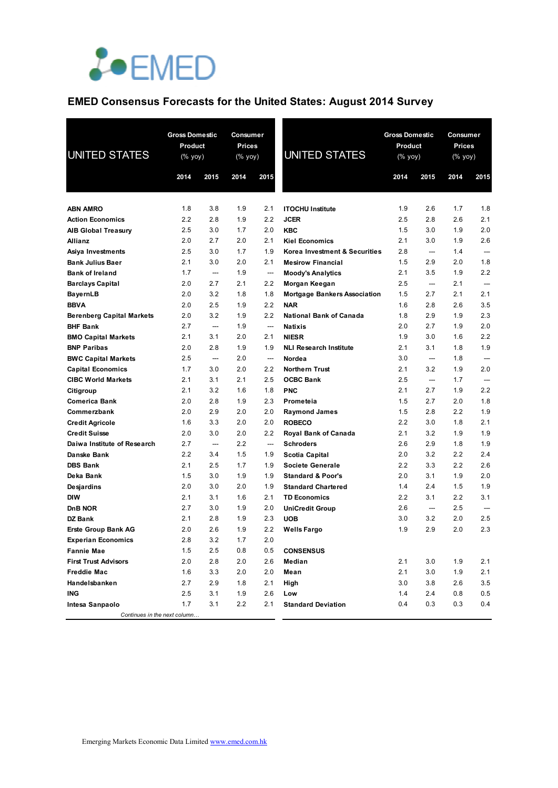

# **EMED Consensus Forecasts for the United States: August 2014 Survey**

| <b>UNITED STATES</b>                              | <b>Gross Domestic</b><br>Product<br>$(\%$ yoy) |                               | <b>Consumer</b><br><b>Prices</b><br>(% yoy) |                                 | <b>UNITED STATES</b>                                      |            | <b>Gross Domestic</b><br>Product<br>(% yoy) |            | Consumer<br><b>Prices</b><br>(% yoy) |  |
|---------------------------------------------------|------------------------------------------------|-------------------------------|---------------------------------------------|---------------------------------|-----------------------------------------------------------|------------|---------------------------------------------|------------|--------------------------------------|--|
|                                                   | 2014                                           | 2015                          | 2014                                        | 2015                            |                                                           | 2014       | 2015                                        | 2014       | 2015                                 |  |
|                                                   |                                                |                               |                                             |                                 |                                                           |            |                                             |            |                                      |  |
| <b>ABN AMRO</b>                                   | 1.8                                            | 3.8                           | 1.9                                         | 2.1                             | <b>ITOCHU Institute</b>                                   | 1.9        | 2.6                                         | 1.7        | 1.8                                  |  |
| <b>Action Economics</b>                           | 2.2                                            | 2.8                           | 1.9                                         | 2.2                             | <b>JCER</b>                                               | 2.5        | 2.8                                         | 2.6        | 2.1                                  |  |
| <b>AIB Global Treasury</b>                        | 2.5                                            | 3.0                           | 1.7                                         | 2.0                             | <b>KBC</b>                                                | 1.5        | 3.0                                         | 1.9        | 2.0                                  |  |
| Allianz                                           | 2.0                                            | 2.7                           | 2.0                                         | 2.1                             | <b>Kiel Economics</b>                                     | 2.1        | 3.0                                         | 1.9        | 2.6                                  |  |
| Asiya Investments                                 | 2.5                                            | 3.0                           | 1.7                                         | 1.9                             | Korea Investment & Securities                             | 2.8        | ---                                         | 1.4        | $\overline{a}$                       |  |
| <b>Bank Julius Baer</b>                           | 2.1<br>1.7                                     | 3.0<br>$\qquad \qquad \cdots$ | 2.0<br>1.9                                  | 2.1<br>$\overline{\phantom{a}}$ | <b>Mesirow Financial</b>                                  | 1.5<br>2.1 | 2.9<br>3.5                                  | 2.0<br>1.9 | 1.8<br>2.2                           |  |
| <b>Bank of Ireland</b><br><b>Barclays Capital</b> | 2.0                                            | 2.7                           | 2.1                                         | 2.2                             | <b>Moody's Analytics</b>                                  | 2.5        | ---                                         | 2.1        |                                      |  |
| BayernLB                                          | 2.0                                            | 3.2                           | 1.8                                         | 1.8                             | Morgan Keegan<br><b>Mortgage Bankers Association</b>      | 1.5        | 2.7                                         | 2.1        | 2.1                                  |  |
| <b>BBVA</b>                                       | 2.0                                            | 2.5                           | 1.9                                         | 2.2                             | <b>NAR</b>                                                | 1.6        | 2.8                                         | 2.6        | 3.5                                  |  |
| <b>Berenberg Capital Markets</b>                  | 2.0                                            | 3.2                           | 1.9                                         | 2.2                             | <b>National Bank of Canada</b>                            | 1.8        | 2.9                                         | 1.9        | 2.3                                  |  |
| <b>BHF Bank</b>                                   | 2.7                                            | $\overline{\phantom{a}}$      | 1.9                                         | $\cdots$                        | <b>Natixis</b>                                            | 2.0        | 2.7                                         | 1.9        | 2.0                                  |  |
| <b>BMO Capital Markets</b>                        | 2.1                                            | 3.1                           | 2.0                                         | 2.1                             | <b>NIESR</b>                                              | 1.9        | 3.0                                         | 1.6        | 2.2                                  |  |
| <b>BNP Paribas</b>                                | 2.0                                            | 2.8                           | 1.9                                         | 1.9                             | <b>NLI Research Institute</b>                             | 2.1        | 3.1                                         | 1.8        | 1.9                                  |  |
| <b>BWC Capital Markets</b>                        | 2.5                                            | ---                           | 2.0                                         | ---                             | Nordea                                                    | 3.0        | ---                                         | 1.8        | $\overline{\phantom{a}}$             |  |
| <b>Capital Economics</b>                          | 1.7                                            | 3.0                           | 2.0                                         | 2.2                             | <b>Northern Trust</b>                                     | 2.1        | 3.2                                         | 1.9        | 2.0                                  |  |
| <b>CIBC World Markets</b>                         | 2.1                                            | 3.1                           | 2.1                                         | 2.5                             | <b>OCBC Bank</b>                                          | 2.5        | $\overline{\phantom{a}}$                    | 1.7        | $\overline{\phantom{a}}$             |  |
| Citigroup                                         | 2.1                                            | 3.2                           | 1.6                                         | 1.8                             | <b>PNC</b>                                                | 2.1        | 2.7                                         | 1.9        | 2.2                                  |  |
| Comerica Bank                                     | 2.0                                            | 2.8                           | 1.9                                         | 2.3                             | Prometeia                                                 | 1.5        | 2.7                                         | 2.0        | 1.8                                  |  |
| Commerzbank                                       | 2.0                                            | 2.9                           | 2.0                                         | 2.0                             | <b>Raymond James</b>                                      | 1.5        | 2.8                                         | 2.2        | 1.9                                  |  |
| <b>Credit Agricole</b>                            | 1.6                                            | 3.3                           | 2.0                                         | 2.0                             | <b>ROBECO</b>                                             | 2.2        | 3.0                                         | 1.8        | 2.1                                  |  |
| <b>Credit Suisse</b>                              | 2.0                                            | 3.0                           | 2.0                                         | 2.2                             | <b>Royal Bank of Canada</b>                               | 2.1        | 3.2                                         | 1.9        | 1.9                                  |  |
| Daiwa Institute of Research                       | 2.7                                            | ---                           | 2.2                                         | ---                             | <b>Schroders</b>                                          | 2.6        | 2.9                                         | 1.8        | 1.9                                  |  |
| Danske Bank                                       | 2.2                                            | 3.4                           | 1.5                                         | 1.9                             | Scotia Capital                                            | 2.0        | 3.2                                         | 2.2        | 2.4                                  |  |
| <b>DBS Bank</b>                                   | 2.1<br>1.5                                     | 2.5<br>3.0                    | 1.7<br>1.9                                  | 1.9<br>1.9                      | Societe Generale                                          | 2.2<br>2.0 | 3.3<br>3.1                                  | 2.2<br>1.9 | 2.6<br>2.0                           |  |
| Deka Bank                                         | 2.0                                            | 3.0                           | 2.0                                         | 1.9                             | <b>Standard &amp; Poor's</b><br><b>Standard Chartered</b> | 1.4        | 2.4                                         | 1.5        | 1.9                                  |  |
| Desjardins<br>DIW                                 | 2.1                                            | 3.1                           | 1.6                                         | 2.1                             | <b>TD Economics</b>                                       | 2.2        | 3.1                                         | $2.2\,$    | 3.1                                  |  |
| DnB NOR                                           | 2.7                                            | 3.0                           | 1.9                                         | 2.0                             | <b>UniCredit Group</b>                                    | 2.6        | ---                                         | 2.5        |                                      |  |
| <b>DZ Bank</b>                                    | 2.1                                            | 2.8                           | 1.9                                         | 2.3                             | <b>UOB</b>                                                | 3.0        | 3.2                                         | 2.0        | 2.5                                  |  |
| <b>Erste Group Bank AG</b>                        | 2.0                                            | 2.6                           | 1.9                                         | 2.2                             | <b>Wells Fargo</b>                                        | 1.9        | 2.9                                         | 2.0        | 2.3                                  |  |
| <b>Experian Economics</b>                         | 2.8                                            | 3.2                           | 1.7                                         | 2.0                             |                                                           |            |                                             |            |                                      |  |
| <b>Fannie Mae</b>                                 | 1.5                                            | 2.5                           | 0.8                                         | 0.5                             | <b>CONSENSUS</b>                                          |            |                                             |            |                                      |  |
| <b>First Trust Advisors</b>                       | 2.0                                            | 2.8                           | 2.0                                         | 2.6                             | Median                                                    | 2.1        | 3.0                                         | 1.9        | 2.1                                  |  |
| <b>Freddie Mac</b>                                | 1.6                                            | 3.3                           | 2.0                                         | 2.0                             | Mean                                                      | 2.1        | 3.0                                         | 1.9        | 2.1                                  |  |
| Handelsbanken                                     | 2.7                                            | 2.9                           | 1.8                                         | 2.1                             | High                                                      | 3.0        | 3.8                                         | 2.6        | 3.5                                  |  |
| ING                                               | 2.5                                            | 3.1                           | 1.9                                         | 2.6                             | Low                                                       | 1.4        | 2.4                                         | 0.8        | 0.5                                  |  |
| Intesa Sanpaolo                                   | 1.7                                            | 3.1                           | 2.2                                         | 2.1                             | <b>Standard Deviation</b>                                 | 0.4        | 0.3                                         | 0.3        | 0.4                                  |  |
| Continues in the next column                      |                                                |                               |                                             |                                 |                                                           |            |                                             |            |                                      |  |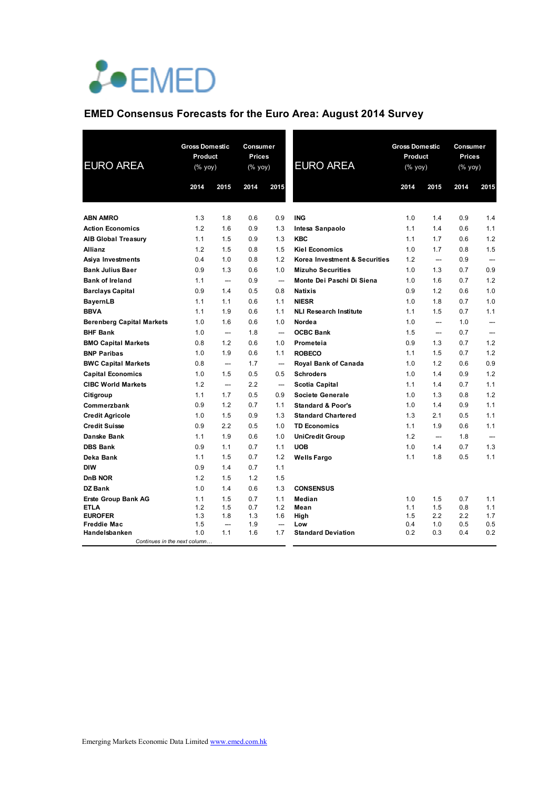

# **EMED Consensus Forecasts for the Euro Area: August 2014 Survey**

| <b>EURO AREA</b>                     | <b>Gross Domestic</b><br>Product<br>$(% \mathsf{Y}^{\prime }\mathsf{Y}^{\prime }\mathsf{Y}^{\prime })$ |                          | Consumer<br>Prices<br>(% yoy) |                          | <b>EURO AREA</b>              | <b>Gross Domestic</b><br>Product<br>(% yoy) |            | Consumer<br>Prices<br>(% yoy) |            |
|--------------------------------------|--------------------------------------------------------------------------------------------------------|--------------------------|-------------------------------|--------------------------|-------------------------------|---------------------------------------------|------------|-------------------------------|------------|
|                                      | 2014                                                                                                   | 2015                     | 2014                          | 2015                     |                               | 2014                                        | 2015       | 2014                          | 2015       |
|                                      |                                                                                                        |                          |                               |                          |                               |                                             |            |                               |            |
| <b>ABN AMRO</b>                      | 1.3                                                                                                    | 1.8                      | 0.6                           | 0.9                      | <b>ING</b>                    | 1.0                                         | 1.4        | 0.9                           | 1.4        |
| <b>Action Economics</b>              | 1.2                                                                                                    | 1.6                      | 0.9                           | 1.3                      | Intesa Sanpaolo               | 1.1                                         | 1.4        | 0.6                           | 1.1        |
| <b>AIB Global Treasury</b>           | 1.1                                                                                                    | 1.5                      | 0.9                           | 1.3                      | <b>KBC</b>                    | 1.1                                         | 1.7        | 0.6                           | 1.2        |
| <b>Allianz</b>                       | 1.2                                                                                                    | 1.5                      | 0.8                           | 1.5                      | <b>Kiel Economics</b>         | 1.0                                         | 1.7        | 0.8                           | 1.5        |
| Asiya Investments                    | 0.4                                                                                                    | 1.0                      | 0.8                           | 1.2                      | Korea Investment & Securities | 1.2                                         | ---        | 0.9                           |            |
| <b>Bank Julius Baer</b>              | 0.9                                                                                                    | 1.3                      | 0.6                           | 1.0                      | <b>Mizuho Securities</b>      | 1.0                                         | 1.3        | 0.7                           | 0.9        |
| <b>Bank of Ireland</b>               | 1.1                                                                                                    | ---                      | 0.9                           | $\qquad \qquad \cdots$   | Monte Dei Paschi Di Siena     | 1.0                                         | 1.6        | 0.7                           | 1.2        |
| <b>Barclays Capital</b>              | 0.9                                                                                                    | 1.4                      | 0.5                           | 0.8                      | <b>Natixis</b>                | 0.9                                         | 1.2        | 0.6                           | 1.0        |
| <b>BayernLB</b>                      | 1.1                                                                                                    | 1.1                      | 0.6                           | 1.1                      | <b>NIESR</b>                  | 1.0                                         | 1.8        | 0.7                           | 1.0        |
| <b>BBVA</b>                          | 1.1                                                                                                    | 1.9                      | 0.6                           | 1.1                      | <b>NLI Research Institute</b> | 1.1                                         | 1.5        | 0.7                           | 1.1        |
| <b>Berenberg Capital Markets</b>     | 1.0                                                                                                    | 1.6                      | 0.6                           | 1.0                      | Nordea                        | 1.0                                         | ---        | 1.0                           | ---        |
| <b>BHF Bank</b>                      | 1.0                                                                                                    | $\overline{\phantom{a}}$ | 1.8                           | $\overline{\phantom{0}}$ | <b>OCBC Bank</b>              | 1.5                                         | ---        | 0.7                           |            |
| <b>BMO Capital Markets</b>           | 0.8                                                                                                    | 1.2                      | 0.6                           | 1.0                      | Prometeia                     | 0.9                                         | 1.3        | 0.7                           | 1.2        |
| <b>BNP Paribas</b>                   | 1.0                                                                                                    | 1.9                      | 0.6                           | 1.1                      | <b>ROBECO</b>                 | 1.1                                         | 1.5        | 0.7                           | 1.2        |
| <b>BWC Capital Markets</b>           | 0.8                                                                                                    | ---                      | 1.7                           | ---                      | Royal Bank of Canada          | 1.0                                         | 1.2        | 0.6                           | 0.9        |
| <b>Capital Economics</b>             | 1.0                                                                                                    | 1.5                      | 0.5                           | 0.5                      | <b>Schroders</b>              | 1.0                                         | 1.4        | 0.9                           | 1.2        |
| <b>CIBC World Markets</b>            | 1.2                                                                                                    | ---                      | 2.2                           | ---                      | Scotia Capital                | 1.1                                         | 1.4        | 0.7                           | 1.1        |
| Citigroup                            | 1.1                                                                                                    | 1.7                      | 0.5                           | 0.9                      | Societe Generale              | 1.0                                         | 1.3        | 0.8                           | 1.2        |
| Commerzbank                          | 0.9                                                                                                    | 1.2                      | 0.7                           | 1.1                      | <b>Standard &amp; Poor's</b>  | 1.0                                         | 1.4        | 0.9                           | 1.1        |
| <b>Credit Agricole</b>               | 1.0                                                                                                    | 1.5                      | 0.9                           | 1.3                      | <b>Standard Chartered</b>     | 1.3                                         | 2.1        | 0.5                           | 1.1        |
| <b>Credit Suisse</b>                 | 0.9                                                                                                    | 2.2                      | 0.5                           | 1.0                      | <b>TD Economics</b>           | 1.1                                         | 1.9        | 0.6                           | 1.1        |
| <b>Danske Bank</b>                   | 1.1                                                                                                    | 1.9                      | 0.6                           | 1.0                      | <b>UniCredit Group</b>        | 1.2                                         | ---        | 1.8                           | ---        |
| <b>DBS Bank</b>                      | 0.9                                                                                                    | 1.1                      | 0.7                           | 1.1                      | <b>UOB</b>                    | 1.0                                         | 1.4        | 0.7                           | 1.3        |
| Deka Bank                            | 1.1                                                                                                    | 1.5                      | 0.7                           | 1.2                      | <b>Wells Fargo</b>            | 1.1                                         | 1.8        | 0.5                           | 1.1        |
| <b>DIW</b>                           | 0.9                                                                                                    | 1.4                      | 0.7                           | 1.1                      |                               |                                             |            |                               |            |
| <b>DnB NOR</b>                       | 1.2                                                                                                    | 1.5                      | 1.2                           | 1.5                      |                               |                                             |            |                               |            |
| DZ Bank                              | 1.0                                                                                                    | 1.4                      | 0.6                           | 1.3                      | <b>CONSENSUS</b>              |                                             |            |                               |            |
| <b>Erste Group Bank AG</b>           | 1.1                                                                                                    | 1.5                      | 0.7                           | 1.1                      | Median                        | 1.0                                         | 1.5        | 0.7                           | 1.1        |
| <b>ETLA</b>                          | 1.2                                                                                                    | 1.5                      | 0.7                           | 1.2                      | Mean                          | 1.1                                         | 1.5        | 0.8                           | 1.1        |
| <b>EUROFER</b><br><b>Freddie Mac</b> | 1.3<br>1.5                                                                                             | 1.8<br>---               | 1.3<br>1.9                    | 1.6<br>---               | High<br>Low                   | 1.5<br>0.4                                  | 2.2<br>1.0 | 2.2<br>0.5                    | 1.7<br>0.5 |
| Handelsbanken                        | 1.0                                                                                                    | 1.1                      | 1.6                           | 1.7                      | <b>Standard Deviation</b>     | 0.2                                         | 0.3        | 0.4                           | 0.2        |
| Continues in the next column         |                                                                                                        |                          |                               |                          |                               |                                             |            |                               |            |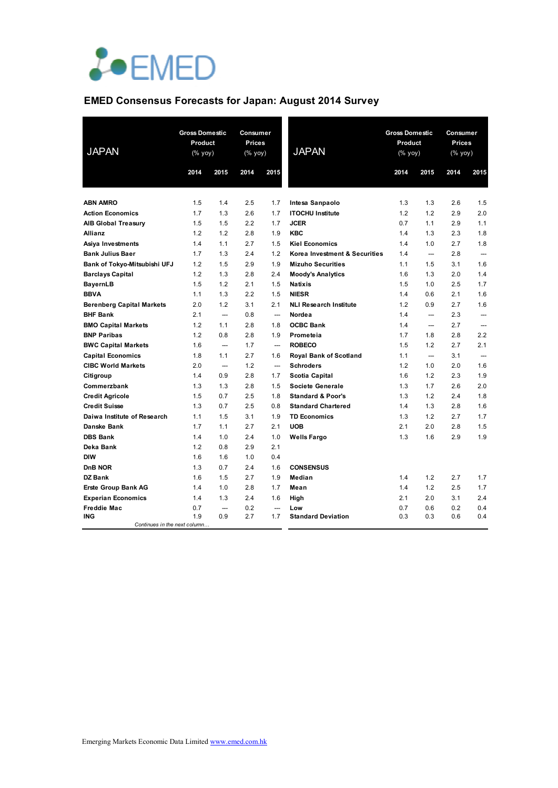

## **EMED Consensus Forecasts for Japan: August 2014 Survey**

| <b>JAPAN</b>                     | <b>Gross Domestic</b><br>Product<br>(% yoy) |                          | Consumer<br><b>Prices</b><br>(% yoy) |                          |                               | <b>JAPAN</b> | <b>Gross Domestic</b><br>Product<br>(% yoy) |      | Consumer<br>Prices<br>(% yoy) |  |
|----------------------------------|---------------------------------------------|--------------------------|--------------------------------------|--------------------------|-------------------------------|--------------|---------------------------------------------|------|-------------------------------|--|
|                                  | 2014                                        | 2015                     | 2014                                 | 2015                     |                               | 2014         | 2015                                        | 2014 | 2015                          |  |
|                                  |                                             |                          |                                      |                          |                               |              |                                             |      |                               |  |
| <b>ABN AMRO</b>                  | 1.5                                         | 1.4                      | 2.5                                  | 1.7                      | Intesa Sanpaolo               | 1.3          | 1.3                                         | 2.6  | 1.5                           |  |
| <b>Action Economics</b>          | 1.7                                         | 1.3                      | 2.6                                  | 1.7                      | <b>ITOCHU Institute</b>       | 1.2          | 1.2                                         | 2.9  | 2.0                           |  |
| <b>AIB Global Treasury</b>       | 1.5                                         | 1.5                      | 2.2                                  | 1.7                      | <b>JCER</b>                   | 0.7          | 1.1                                         | 2.9  | 1.1                           |  |
| Allianz                          | 1.2                                         | 1.2                      | 2.8                                  | 1.9                      | <b>KBC</b>                    | 1.4          | 1.3                                         | 2.3  | 1.8                           |  |
| Asiya Investments                | 1.4                                         | 1.1                      | 2.7                                  | 1.5                      | <b>Kiel Economics</b>         | 1.4          | 1.0                                         | 2.7  | 1.8                           |  |
| <b>Bank Julius Baer</b>          | 1.7                                         | 1.3                      | 2.4                                  | 1.2                      | Korea Investment & Securities | 1.4          | $\overline{\phantom{a}}$                    | 2.8  |                               |  |
| Bank of Tokyo-Mitsubishi UFJ     | 1.2                                         | 1.5                      | 2.9                                  | 1.9                      | <b>Mizuho Securities</b>      | 1.1          | 1.5                                         | 3.1  | 1.6                           |  |
| <b>Barclays Capital</b>          | 1.2                                         | 1.3                      | 2.8                                  | 2.4                      | <b>Moody's Analytics</b>      | 1.6          | 1.3                                         | 2.0  | 1.4                           |  |
| <b>BayernLB</b>                  | 1.5                                         | 1.2                      | 2.1                                  | 1.5                      | <b>Natixis</b>                | 1.5          | 1.0                                         | 2.5  | 1.7                           |  |
| <b>BBVA</b>                      | 1.1                                         | 1.3                      | 2.2                                  | 1.5                      | <b>NIESR</b>                  | 1.4          | 0.6                                         | 2.1  | 1.6                           |  |
| <b>Berenberg Capital Markets</b> | 2.0                                         | 1.2                      | 3.1                                  | 2.1                      | <b>NLI Research Institute</b> | 1.2          | 0.9                                         | 2.7  | 1.6                           |  |
| <b>BHF Bank</b>                  | 2.1                                         | $\overline{\phantom{a}}$ | 0.8                                  | $\overline{\phantom{a}}$ | Nordea                        | 1.4          | $\overline{a}$                              | 2.3  | $---$                         |  |
| <b>BMO Capital Markets</b>       | 1.2                                         | 1.1                      | 2.8                                  | 1.8                      | <b>OCBC Bank</b>              | 1.4          | $\overline{\phantom{a}}$                    | 2.7  | ---                           |  |
| <b>BNP Paribas</b>               | 1.2                                         | 0.8                      | 2.8                                  | 1.9                      | Prometeia                     | 1.7          | 1.8                                         | 2.8  | 2.2                           |  |
| <b>BWC Capital Markets</b>       | 1.6                                         | ---                      | 1.7                                  | ---                      | <b>ROBECO</b>                 | 1.5          | 1.2                                         | 2.7  | 2.1                           |  |
| <b>Capital Economics</b>         | 1.8                                         | 1.1                      | 2.7                                  | 1.6                      | <b>Royal Bank of Scotland</b> | 1.1          |                                             | 3.1  |                               |  |
| <b>CIBC World Markets</b>        | 2.0                                         |                          | 1.2                                  | $\overline{\phantom{a}}$ | <b>Schroders</b>              | 1.2          | 1.0                                         | 2.0  | 1.6                           |  |
| Citigroup                        | 1.4                                         | 0.9                      | 2.8                                  | 1.7                      | Scotia Capital                | 1.6          | 1.2                                         | 2.3  | 1.9                           |  |
| Commerzbank                      | 1.3                                         | 1.3                      | 2.8                                  | 1.5                      | <b>Societe Generale</b>       | 1.3          | 1.7                                         | 2.6  | 2.0                           |  |
| <b>Credit Agricole</b>           | 1.5                                         | 0.7                      | 2.5                                  | 1.8                      | <b>Standard &amp; Poor's</b>  | 1.3          | 1.2                                         | 2.4  | 1.8                           |  |
| <b>Credit Suisse</b>             | 1.3                                         | 0.7                      | 2.5                                  | 0.8                      | <b>Standard Chartered</b>     | 1.4          | 1.3                                         | 2.8  | 1.6                           |  |
| Daiwa Institute of Research      | 1.1                                         | 1.5                      | 3.1                                  | 1.9                      | <b>TD Economics</b>           | 1.3          | 1.2                                         | 2.7  | 1.7                           |  |
| Danske Bank                      | 1.7                                         | 1.1                      | 2.7                                  | 2.1                      | <b>UOB</b>                    | 2.1          | 2.0                                         | 2.8  | 1.5                           |  |
| <b>DBS Bank</b>                  | 1.4                                         | 1.0                      | 2.4                                  | 1.0                      | <b>Wells Fargo</b>            | 1.3          | 1.6                                         | 2.9  | 1.9                           |  |
| Deka Bank                        | 1.2                                         | 0.8                      | 2.9                                  | 2.1                      |                               |              |                                             |      |                               |  |
| <b>DIW</b>                       | 1.6                                         | 1.6                      | 1.0                                  | 0.4                      |                               |              |                                             |      |                               |  |
| DnB NOR                          | 1.3                                         | 0.7                      | 2.4                                  | 1.6                      | <b>CONSENSUS</b>              |              |                                             |      |                               |  |
| DZ Bank                          | 1.6                                         | 1.5                      | 2.7                                  | 1.9                      | Median                        | 1.4          | 1.2                                         | 2.7  | 1.7                           |  |
| <b>Erste Group Bank AG</b>       | 1.4                                         | 1.0                      | 2.8                                  | 1.7                      | Mean                          | 1.4          | 1.2                                         | 2.5  | 1.7                           |  |
| <b>Experian Economics</b>        | 1.4                                         | 1.3                      | 2.4                                  | 1.6                      | High                          | 2.1          | 2.0                                         | 3.1  | 2.4                           |  |
| <b>Freddie Mac</b>               | 0.7                                         | $\overline{\phantom{a}}$ | 0.2                                  | $\overline{\phantom{a}}$ | Low                           | 0.7          | 0.6                                         | 0.2  | 0.4                           |  |
| <b>ING</b>                       | 1.9                                         | 0.9                      | 2.7                                  | 1.7                      | <b>Standard Deviation</b>     | 0.3          | 0.3                                         | 0.6  | 0.4                           |  |
| Continues in the next column     |                                             |                          |                                      |                          |                               |              |                                             |      |                               |  |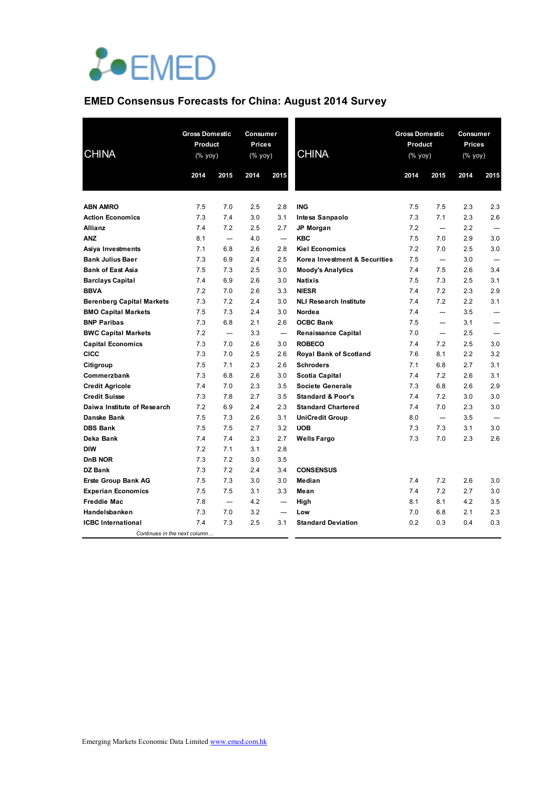

# **EMED Consensus Forecasts for China: August 2014 Survey**

| <b>CHINA</b>                     | <b>Gross Domestic</b><br>Product<br>(% yoy) |                        | Consumer<br>Prices<br>(% yoy) |                        | <b>CHINA</b>                  |      | <b>Gross Domestic</b><br>Product<br>(% yoy) |      | Consumer<br><b>Prices</b><br>(% yoy) |
|----------------------------------|---------------------------------------------|------------------------|-------------------------------|------------------------|-------------------------------|------|---------------------------------------------|------|--------------------------------------|
|                                  | 2014                                        | 2015                   | 2014                          | 2015                   |                               | 2014 | 2015                                        | 2014 | 2015                                 |
|                                  |                                             |                        |                               |                        |                               |      |                                             |      |                                      |
| <b>ABN AMRO</b>                  | 7.5                                         | 7.0                    | 2.5                           | 2.8                    | <b>ING</b>                    | 7.5  | 7.5                                         | 2.3  | 2.3                                  |
| <b>Action Economics</b>          | 7.3                                         | 7.4                    | 3.0                           | 3.1                    | Intesa Sanpaolo               | 7.3  | 7.1                                         | 2.3  | 2.6                                  |
| Allianz                          | 7.4                                         | 7.2                    | 2.5                           | 2.7                    | JP Morgan                     | 7.2  | ---                                         | 2.2  | ---                                  |
| ANZ                              | 8.1                                         | ---                    | 4.0                           | ---                    | <b>KBC</b>                    | 7.5  | 7.0                                         | 2.9  | 3.0                                  |
| Asiya Investments                | 7.1                                         | 6.8                    | 2.6                           | 2.8                    | <b>Kiel Economics</b>         | 7.2  | 7.0                                         | 2.5  | 3.0                                  |
| <b>Bank Julius Baer</b>          | 7.3                                         | 6.9                    | 2.4                           | 2.5                    | Korea Investment & Securities | 7.5  | $\overline{\phantom{a}}$                    | 3.0  |                                      |
| <b>Bank of East Asia</b>         | 7.5                                         | 7.3                    | 2.5                           | 3.0                    | <b>Moody's Analytics</b>      | 7.4  | 7.5                                         | 2.6  | 3.4                                  |
| <b>Barclays Capital</b>          | 7.4                                         | 6.9                    | 2.6                           | 3.0                    | <b>Natixis</b>                | 7.5  | 7.3                                         | 2.5  | 3.1                                  |
| <b>BBVA</b>                      | 7.2                                         | 7.0                    | 2.6                           | 3.3                    | <b>NIESR</b>                  | 7.4  | 7.2                                         | 2.3  | 2.9                                  |
| <b>Berenberg Capital Markets</b> | 7.3                                         | 7.2                    | 2.4                           | 3.0                    | <b>NLI Research Institute</b> | 7.4  | 7.2                                         | 2.2  | 3.1                                  |
| <b>BMO Capital Markets</b>       | 7.5                                         | 7.3                    | 2.4                           | 3.0                    | Nordea                        | 7.4  | --                                          | 3.5  | ---                                  |
| <b>BNP Paribas</b>               | 7.3                                         | 6.8                    | 2.1                           | 2.6                    | <b>OCBC Bank</b>              | 7.5  | $\overline{\phantom{a}}$                    | 3.1  | ---                                  |
| <b>BWC Capital Markets</b>       | 7.2                                         | ---                    | 3.3                           | ---                    | Renaissance Capital           | 7.0  | --                                          | 2.5  | ---                                  |
| <b>Capital Economics</b>         | 7.3                                         | 7.0                    | 2.6                           | 3.0                    | <b>ROBECO</b>                 | 7.4  | 7.2                                         | 2.5  | 3.0                                  |
| <b>CICC</b>                      | 7.3                                         | 7.0                    | 2.5                           | 2.6                    | <b>Royal Bank of Scotland</b> | 7.6  | 8.1                                         | 2.2  | 3.2                                  |
| Citigroup                        | 7.5                                         | 7.1                    | 2.3                           | 2.6                    | <b>Schroders</b>              | 7.1  | 6.8                                         | 2.7  | 3.1                                  |
| Commerzbank                      | 7.3                                         | 6.8                    | 2.6                           | 3.0                    | Scotia Capital                | 7.4  | 7.2                                         | 2.6  | 3.1                                  |
| <b>Credit Agricole</b>           | 7.4                                         | 7.0                    | 2.3                           | 3.5                    | Societe Generale              | 7.3  | 6.8                                         | 2.6  | 2.9                                  |
| <b>Credit Suisse</b>             | 7.3                                         | 7.8                    | 2.7                           | 3.5                    | <b>Standard &amp; Poor's</b>  | 7.4  | 7.2                                         | 3.0  | 3.0                                  |
| Daiwa Institute of Research      | 7.2                                         | 6.9                    | 2.4                           | 2.3                    | <b>Standard Chartered</b>     | 7.4  | 7.0                                         | 2.3  | 3.0                                  |
| Danske Bank                      | 7.5                                         | 7.3                    | 2.6                           | 3.1                    | <b>UniCredit Group</b>        | 8.0  | $\overline{\phantom{a}}$                    | 3.5  | ---                                  |
| <b>DBS Bank</b>                  | 7.5                                         | 7.5                    | 2.7                           | 3.2                    | <b>UOB</b>                    | 7.3  | 7.3                                         | 3.1  | 3.0                                  |
| Deka Bank                        | 7.4                                         | 7.4                    | 2.3                           | 2.7                    | <b>Wells Fargo</b>            | 7.3  | 7.0                                         | 2.3  | 2.6                                  |
| <b>DIW</b>                       | 7.2                                         | 7.1                    | 3.1                           | 2.8                    |                               |      |                                             |      |                                      |
| D <sub>n</sub> B NOR             | 7.3                                         | 7.2                    | 3.0                           | 3.5                    |                               |      |                                             |      |                                      |
| DZ Bank                          | 7.3                                         | 7.2                    | 2.4                           | 3.4                    | <b>CONSENSUS</b>              |      |                                             |      |                                      |
| <b>Erste Group Bank AG</b>       | 7.5                                         | 7.3                    | 3.0                           | 3.0                    | Median                        | 7.4  | 7.2                                         | 2.6  | 3.0                                  |
| <b>Experian Economics</b>        | 7.5                                         | 7.5                    | 3.1                           | 3.3                    | Mean                          | 7.4  | 7.2                                         | 2.7  | 3.0                                  |
| <b>Freddie Mac</b>               | 7.8                                         | $\qquad \qquad \cdots$ | 4.2                           | $\qquad \qquad \cdots$ | High                          | 8.1  | 8.1                                         | 4.2  | 3.5                                  |
| Handelsbanken                    | 7.3                                         | 7.0                    | 3.2                           | $\qquad \qquad \cdots$ | Low                           | 7.0  | 6.8                                         | 2.1  | 2.3                                  |
| <b>ICBC</b> International        | 7.4                                         | 7.3                    | 2.5                           | 3.1                    | <b>Standard Deviation</b>     | 0.2  | 0.3                                         | 0.4  | 0.3                                  |
| Continues in the next column     |                                             |                        |                               |                        |                               |      |                                             |      |                                      |